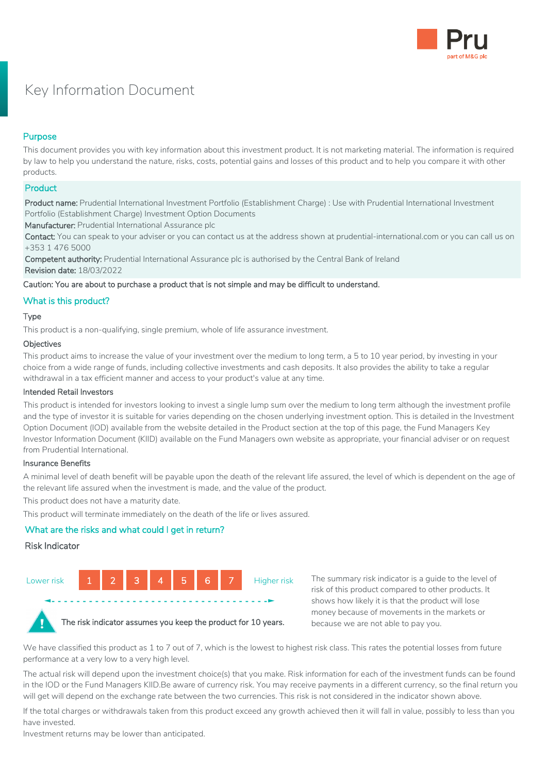

# Key Information Document

# Purpose

This document provides you with key information about this investment product. It is not marketing material. The information is required by law to help you understand the nature, risks, costs, potential gains and losses of this product and to help you compare it with other products.

## **Product**

Product name: Prudential International Investment Portfolio (Establishment Charge) : Use with Prudential International Investment Portfolio (Establishment Charge) Investment Option Documents

Manufacturer: Prudential International Assurance plc

Contact: You can speak to your adviser or you can contact us at the address shown at prudential-international.com or you can call us on +353 1 476 5000

Competent authority: Prudential International Assurance plc is authorised by the Central Bank of Ireland Revision date: 18/03/2022

Caution: You are about to purchase a product that is not simple and may be difficult to understand.

# What is this product?

## Type

This product is a non-qualifying, single premium, whole of life assurance investment.

#### **Objectives**

This product aims to increase the value of your investment over the medium to long term, a 5 to 10 year period, by investing in your choice from a wide range of funds, including collective investments and cash deposits. It also provides the ability to take a regular withdrawal in a tax efficient manner and access to your product's value at any time.

#### Intended Retail Investors

This product is intended for investors looking to invest a single lump sum over the medium to long term although the investment profile and the type of investor it is suitable for varies depending on the chosen underlying investment option. This is detailed in the Investment Option Document (IOD) available from the website detailed in the Product section at the top of this page, the Fund Managers Key Investor Information Document (KIID) available on the Fund Managers own website as appropriate, your financial adviser or on request from Prudential International.

#### Insurance Benefits

A minimal level of death benefit will be payable upon the death of the relevant life assured, the level of which is dependent on the age of the relevant life assured when the investment is made, and the value of the product.

This product does not have a maturity date.

This product will terminate immediately on the death of the life or lives assured.

# What are the risks and what could I get in return?

#### Risk Indicator



The summary risk indicator is a guide to the level of risk of this product compared to other products. It shows how likely it is that the product will lose money because of movements in the markets or because we are not able to pay you.



The risk indicator assumes you keep the product for 10 years.

We have classified this product as 1 to 7 out of 7, which is the lowest to highest risk class. This rates the potential losses from future performance at a very low to a very high level.

The actual risk will depend upon the investment choice(s) that you make. Risk information for each of the investment funds can be found in the IOD or the Fund Managers KIID.Be aware of currency risk. You may receive payments in a different currency, so the final return you will get will depend on the exchange rate between the two currencies. This risk is not considered in the indicator shown above.

If the total charges or withdrawals taken from this product exceed any growth achieved then it will fall in value, possibly to less than you have invested.

Investment returns may be lower than anticipated.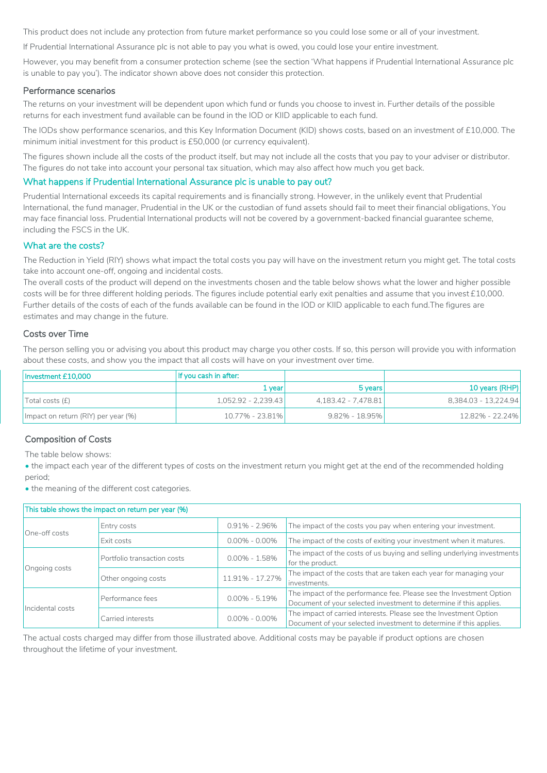This product does not include any protection from future market performance so you could lose some or all of your investment.

If Prudential International Assurance plc is not able to pay you what is owed, you could lose your entire investment.

However, you may benefit from a consumer protection scheme (see the section 'What happens if Prudential International Assurance plc is unable to pay you'). The indicator shown above does not consider this protection.

#### Performance scenarios

The returns on your investment will be dependent upon which fund or funds you choose to invest in. Further details of the possible returns for each investment fund available can be found in the IOD or KIID applicable to each fund.

The IODs show performance scenarios, and this Key Information Document (KID) shows costs, based on an investment of £10,000. The minimum initial investment for this product is £50,000 (or currency equivalent).

The figures shown include all the costs of the product itself, but may not include all the costs that you pay to your adviser or distributor. The figures do not take into account your personal tax situation, which may also affect how much you get back.

## What happens if Prudential International Assurance plc is unable to pay out?

Prudential International exceeds its capital requirements and is financially strong. However, in the unlikely event that Prudential International, the fund manager, Prudential in the UK or the custodian of fund assets should fail to meet their financial obligations, You may face financial loss. Prudential International products will not be covered by a government-backed financial guarantee scheme, including the FSCS in the UK.

### What are the costs?

The Reduction in Yield (RIY) shows what impact the total costs you pay will have on the investment return you might get. The total costs take into account one-off, ongoing and incidental costs.

The overall costs of the product will depend on the investments chosen and the table below shows what the lower and higher possible costs will be for three different holding periods. The figures include potential early exit penalties and assume that you invest £10,000. Further details of the costs of each of the funds available can be found in the IOD or KIID applicable to each fund.The figures are estimates and may change in the future.

#### Costs over Time

The person selling you or advising you about this product may charge you other costs. If so, this person will provide you with information about these costs, and show you the impact that all costs will have on your investment over time.

| Investment £10,000                  | If you cash in after: |                     |                      |
|-------------------------------------|-----------------------|---------------------|----------------------|
|                                     | 1 vear                | 5 years             | 10 years (RHP)       |
| Total costs (f)                     | $1,052.92 - 2,239.43$ | 4,183.42 - 7,478.81 | 8.384.03 - 13.224.94 |
| Impact on return (RIY) per year (%) | 10.77% - 23.81%       | $9.82\% - 18.95\%$  | 12.82% - 22.24%      |

## Composition of Costs

The table below shows:

• the impact each year of the different types of costs on the investment return you might get at the end of the recommended holding period;

• the meaning of the different cost categories.

| This table shows the impact on return per year (%) |                             |                   |                                                                                                                                           |  |  |
|----------------------------------------------------|-----------------------------|-------------------|-------------------------------------------------------------------------------------------------------------------------------------------|--|--|
| One-off costs                                      | Entry costs                 | $0.91\% - 2.96\%$ | The impact of the costs you pay when entering your investment.                                                                            |  |  |
|                                                    | Exit costs                  | $0.00\% - 0.00\%$ | The impact of the costs of exiting your investment when it matures.                                                                       |  |  |
| Ongoing costs                                      | Portfolio transaction costs | $0.00\% - 1.58\%$ | The impact of the costs of us buying and selling underlying investments<br>for the product.                                               |  |  |
|                                                    | Other ongoing costs         | 11.91% - 17.27%   | The impact of the costs that are taken each year for managing your<br>investments.                                                        |  |  |
| Incidental costs                                   | Performance fees            | $0.00\% - 5.19\%$ | The impact of the performance fee. Please see the Investment Option<br>Document of your selected investment to determine if this applies. |  |  |
|                                                    | Carried interests           | $0.00\% - 0.00\%$ | The impact of carried interests. Please see the Investment Option<br>Document of your selected investment to determine if this applies.   |  |  |

The actual costs charged may differ from those illustrated above. Additional costs may be payable if product options are chosen throughout the lifetime of your investment.